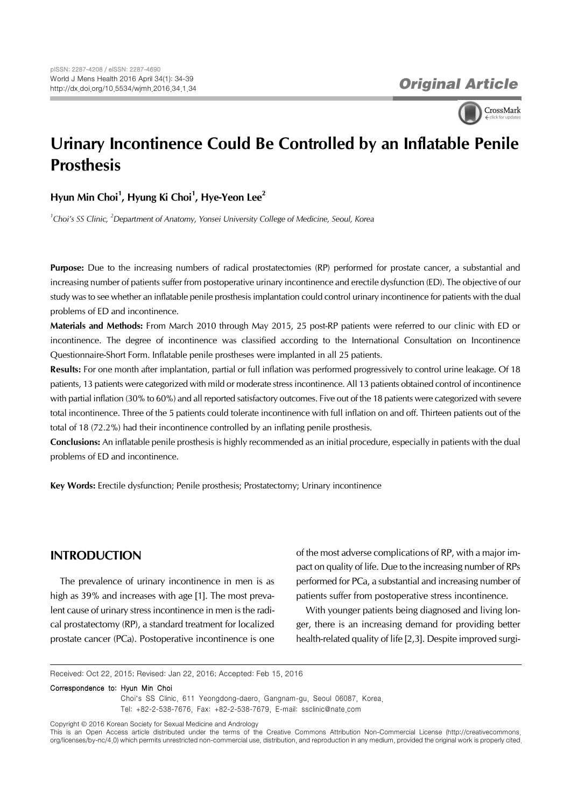

# **Urinary Incontinence Could Be Controlled by an Inflatable Penile Prosthesis**

# Hyun Min Choi<sup>1</sup>, Hyung Ki Choi<sup>1</sup>, Hye-Yeon Lee<sup>2</sup>

<sup>1</sup> Choi's SS Clinic, <sup>2</sup> Department of Anatomy, Yonsei University College of Medicine, Seoul, Korea

**Purpose:** Due to the increasing numbers of radical prostatectomies (RP) performed for prostate cancer, a substantial and increasing number of patients suffer from postoperative urinary incontinence and erectile dysfunction (ED). The objective of our study was to see whether an inflatable penile prosthesis implantation could control urinary incontinence for patients with the dual problems of ED and incontinence.

**Materials and Methods:** From March 2010 through May 2015, 25 post-RP patients were referred to our clinic with ED or incontinence. The degree of incontinence was classified according to the International Consultation on Incontinence Questionnaire-Short Form. Inflatable penile prostheses were implanted in all 25 patients.

**Results:** For one month after implantation, partial or full inflation was performed progressively to control urine leakage. Of 18 patients, 13 patients were categorized with mild or moderate stress incontinence. All 13 patients obtained control of incontinence with partial inflation (30% to 60%) and all reported satisfactory outcomes. Five out of the 18 patients were categorized with severe total incontinence. Three of the 5 patients could tolerate incontinence with full inflation on and off. Thirteen patients out of the total of 18 (72.2%) had their incontinence controlled by an inflating penile prosthesis.

**Conclusions:** An inflatable penile prosthesis is highly recommended as an initial procedure, especially in patients with the dual problems of ED and incontinence.

**Key Words:** Erectile dysfunction; Penile prosthesis; Prostatectomy; Urinary incontinence

## **INTRODUCTION**

The prevalence of urinary incontinence in men is as high as 39% and increases with age [1]. The most prevalent cause of urinary stress incontinence in men is the radical prostatectomy (RP), a standard treatment for localized prostate cancer (PCa). Postoperative incontinence is one of the most adverse complications of RP, with a major impact on quality of life. Due to the increasing number of RPs performed for PCa, a substantial and increasing number of patients suffer from postoperative stress incontinence.

With younger patients being diagnosed and living longer, there is an increasing demand for providing better health-related quality of life [2,3]. Despite improved surgi-

Received: Oct 22, 2015; Revised: Jan 22, 2016; Accepted: Feb 15, 2016

Correspondence to: Hyun Min Choi

Choi's SS Clinic, 611 Yeongdong-daero, Gangnam-gu, Seoul 06087, Korea. Tel: +82-2-538-7676, Fax: +82-2-538-7679, E-mail: ssclinic@nate.com

Copyright © 2016 Korean Society for Sexual Medicine and Andrology

This is an Open Access article distributed under the terms of the Creative Commons Attribution Non-Commercial License (http://creativecommons. org/licenses/by-nc/4.0) which permits unrestricted non-commercial use, distribution, and reproduction in any medium, provided the original work is properly cited.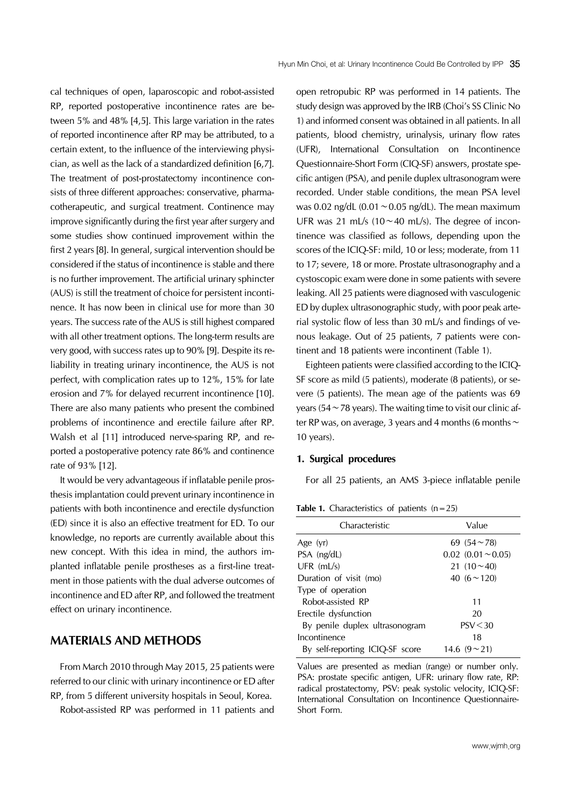cal techniques of open, laparoscopic and robot-assisted RP, reported postoperative incontinence rates are between 5% and 48% [4,5]. This large variation in the rates of reported incontinence after RP may be attributed, to a certain extent, to the influence of the interviewing physician, as well as the lack of a standardized definition [6,7]. The treatment of post-prostatectomy incontinence consists of three different approaches: conservative, pharmacotherapeutic, and surgical treatment. Continence may improve significantly during the first year after surgery and some studies show continued improvement within the first 2 years [8]. In general, surgical intervention should be considered if the status of incontinence is stable and there is no further improvement. The artificial urinary sphincter (AUS) is still the treatment of choice for persistent incontinence. It has now been in clinical use for more than 30 years. The success rate of the AUS is still highest compared with all other treatment options. The long-term results are very good, with success rates up to 90% [9]. Despite its reliability in treating urinary incontinence, the AUS is not perfect, with complication rates up to 12%, 15% for late erosion and 7% for delayed recurrent incontinence [10]. There are also many patients who present the combined problems of incontinence and erectile failure after RP. Walsh et al [11] introduced nerve-sparing RP, and reported a postoperative potency rate 86% and continence rate of 93% [12].

It would be very advantageous if inflatable penile prosthesis implantation could prevent urinary incontinence in patients with both incontinence and erectile dysfunction (ED) since it is also an effective treatment for ED. To our knowledge, no reports are currently available about this new concept. With this idea in mind, the authors implanted inflatable penile prostheses as a first-line treatment in those patients with the dual adverse outcomes of incontinence and ED after RP, and followed the treatment effect on urinary incontinence.

### **MATERIALS AND METHODS**

From March 2010 through May 2015, 25 patients were referred to our clinic with urinary incontinence or ED after RP, from 5 different university hospitals in Seoul, Korea.

Robot-assisted RP was performed in 11 patients and

open retropubic RP was performed in 14 patients. The study design was approved by the IRB (Choi's SS Clinic No 1) and informed consent was obtained in all patients. In all patients, blood chemistry, urinalysis, urinary flow rates (UFR), International Consultation on Incontinence Questionnaire-Short Form (CIQ-SF) answers, prostate specific antigen (PSA), and penile duplex ultrasonogram were recorded. Under stable conditions, the mean PSA level was 0.02 ng/dL (0.01∼0.05 ng/dL). The mean maximum UFR was 21 mL/s (10∼40 mL/s). The degree of incontinence was classified as follows, depending upon the scores of the ICIQ-SF: mild, 10 or less; moderate, from 11 to 17; severe, 18 or more. Prostate ultrasonography and a cystoscopic exam were done in some patients with severe leaking. All 25 patients were diagnosed with vasculogenic ED by duplex ultrasonographic study, with poor peak arterial systolic flow of less than 30 mL/s and findings of venous leakage. Out of 25 patients, 7 patients were continent and 18 patients were incontinent (Table 1).

Eighteen patients were classified according to the ICIQ-SF score as mild (5 patients), moderate (8 patients), or severe (5 patients). The mean age of the patients was 69 years (54∼78 years). The waiting time to visit our clinic after RP was, on average, 3 years and 4 months (6 months∼ 10 years).

#### **1. Surgical procedures**

For all 25 patients, an AMS 3-piece inflatable penile

**Table 1.** Characteristics of patients  $(n=25)$ 

| Characteristic                  | Value                |
|---------------------------------|----------------------|
| Age (yr)                        | 69 $(54 \sim 78)$    |
| PSA (ng/dL)                     | $0.02$ (0.01 ~ 0.05) |
| UFR $(mL/s)$                    | 21 $(10 \sim 40)$    |
| Duration of visit (mo)          | 40 $(6 \sim 120)$    |
| Type of operation               |                      |
| Robot-assisted RP               | 11                   |
| Erectile dysfunction            | 20                   |
| By penile duplex ultrasonogram  | PSV < 30             |
| Incontinence                    | 18                   |
| By self-reporting ICIQ-SF score | 14.6 $(9 \sim 21)$   |

Values are presented as median (range) or number only. PSA: prostate specific antigen, UFR: urinary flow rate, RP: radical prostatectomy, PSV: peak systolic velocity, ICIQ-SF: International Consultation on Incontinence Questionnaire-Short Form.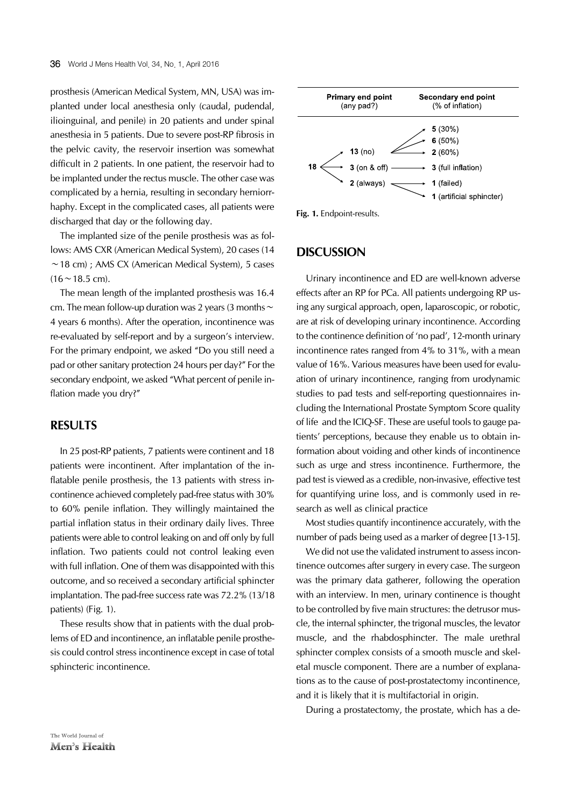prosthesis (American Medical System, MN, USA) was implanted under local anesthesia only (caudal, pudendal, ilioinguinal, and penile) in 20 patients and under spinal anesthesia in 5 patients. Due to severe post-RP fibrosis in the pelvic cavity, the reservoir insertion was somewhat difficult in 2 patients. In one patient, the reservoir had to be implanted under the rectus muscle. The other case was complicated by a hernia, resulting in secondary herniorrhaphy. Except in the complicated cases, all patients were discharged that day or the following day.

The implanted size of the penile prosthesis was as follows: AMS CXR (American Medical System), 20 cases (14 ∼18 cm) ; AMS CX (American Medical System), 5 cases (16∼18.5 cm).

The mean length of the implanted prosthesis was 16.4 cm. The mean follow-up duration was 2 years (3 months∼ 4 years 6 months). After the operation, incontinence was re-evaluated by self-report and by a surgeon's interview. For the primary endpoint, we asked "Do you still need a pad or other sanitary protection 24 hours per day?" For the secondary endpoint, we asked "What percent of penile inflation made you dry?"

## **RESULTS**

In 25 post-RP patients, 7 patients were continent and 18 patients were incontinent. After implantation of the inflatable penile prosthesis, the 13 patients with stress incontinence achieved completely pad-free status with 30% to 60% penile inflation. They willingly maintained the partial inflation status in their ordinary daily lives. Three patients were able to control leaking on and off only by full inflation. Two patients could not control leaking even with full inflation. One of them was disappointed with this outcome, and so received a secondary artificial sphincter implantation. The pad-free success rate was 72.2% (13/18 patients) (Fig. 1).

These results show that in patients with the dual problems of ED and incontinence, an inflatable penile prosthesis could control stress incontinence except in case of total sphincteric incontinence.



**Fig. 1.** Endpoint-results.

#### **DISCUSSION**

Urinary incontinence and ED are well-known adverse effects after an RP for PCa. All patients undergoing RP using any surgical approach, open, laparoscopic, or robotic, are at risk of developing urinary incontinence. According to the continence definition of 'no pad', 12-month urinary incontinence rates ranged from 4% to 31%, with a mean value of 16%. Various measures have been used for evaluation of urinary incontinence, ranging from urodynamic studies to pad tests and self-reporting questionnaires including the International Prostate Symptom Score quality of life and the ICIQ-SF. These are useful tools to gauge patients' perceptions, because they enable us to obtain information about voiding and other kinds of incontinence such as urge and stress incontinence. Furthermore, the pad test is viewed as a credible, non-invasive, effective test for quantifying urine loss, and is commonly used in research as well as clinical practice

Most studies quantify incontinence accurately, with the number of pads being used as a marker of degree [13-15].

We did not use the validated instrument to assess incontinence outcomes after surgery in every case. The surgeon was the primary data gatherer, following the operation with an interview. In men, urinary continence is thought to be controlled by five main structures: the detrusor muscle, the internal sphincter, the trigonal muscles, the levator muscle, and the rhabdosphincter. The male urethral sphincter complex consists of a smooth muscle and skeletal muscle component. There are a number of explanations as to the cause of post-prostatectomy incontinence, and it is likely that it is multifactorial in origin.

During a prostatectomy, the prostate, which has a de-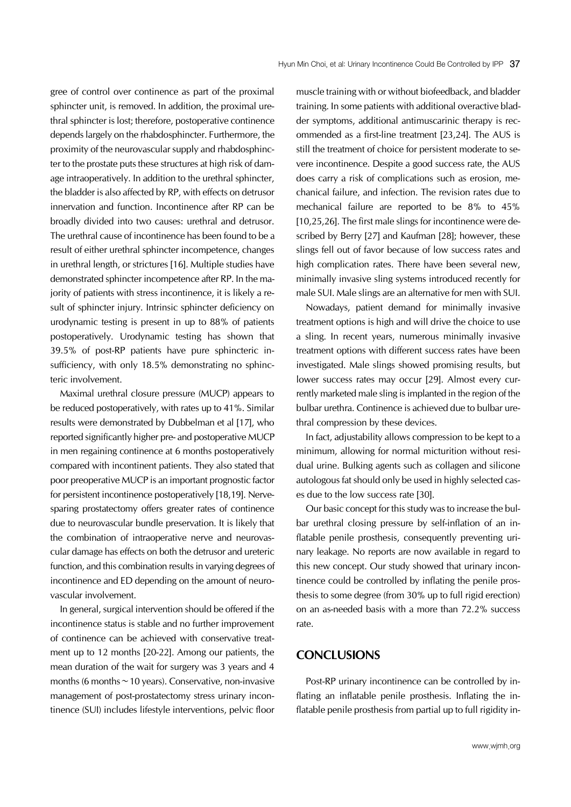gree of control over continence as part of the proximal sphincter unit, is removed. In addition, the proximal urethral sphincter is lost; therefore, postoperative continence depends largely on the rhabdosphincter. Furthermore, the proximity of the neurovascular supply and rhabdosphincter to the prostate puts these structures at high risk of damage intraoperatively. In addition to the urethral sphincter, the bladder is also affected by RP, with effects on detrusor innervation and function. Incontinence after RP can be broadly divided into two causes: urethral and detrusor. The urethral cause of incontinence has been found to be a result of either urethral sphincter incompetence, changes in urethral length, or strictures [16]. Multiple studies have demonstrated sphincter incompetence after RP. In the majority of patients with stress incontinence, it is likely a result of sphincter injury. Intrinsic sphincter deficiency on urodynamic testing is present in up to 88% of patients postoperatively. Urodynamic testing has shown that 39.5% of post-RP patients have pure sphincteric insufficiency, with only 18.5% demonstrating no sphincteric involvement.

Maximal urethral closure pressure (MUCP) appears to be reduced postoperatively, with rates up to 41%. Similar results were demonstrated by Dubbelman et al [17], who reported significantly higher pre- and postoperative MUCP in men regaining continence at 6 months postoperatively compared with incontinent patients. They also stated that poor preoperative MUCP is an important prognostic factor for persistent incontinence postoperatively [18,19]. Nervesparing prostatectomy offers greater rates of continence due to neurovascular bundle preservation. It is likely that the combination of intraoperative nerve and neurovascular damage has effects on both the detrusor and ureteric function, and this combination results in varying degrees of incontinence and ED depending on the amount of neurovascular involvement.

In general, surgical intervention should be offered if the incontinence status is stable and no further improvement of continence can be achieved with conservative treatment up to 12 months [20-22]. Among our patients, the mean duration of the wait for surgery was 3 years and 4 months (6 months∼10 years). Conservative, non-invasive management of post-prostatectomy stress urinary incontinence (SUI) includes lifestyle interventions, pelvic floor

muscle training with or without biofeedback, and bladder training. In some patients with additional overactive bladder symptoms, additional antimuscarinic therapy is recommended as a first-line treatment [23,24]. The AUS is still the treatment of choice for persistent moderate to severe incontinence. Despite a good success rate, the AUS does carry a risk of complications such as erosion, mechanical failure, and infection. The revision rates due to mechanical failure are reported to be 8% to 45% [10,25,26]. The first male slings for incontinence were described by Berry [27] and Kaufman [28]; however, these slings fell out of favor because of low success rates and high complication rates. There have been several new, minimally invasive sling systems introduced recently for male SUI. Male slings are an alternative for men with SUI.

Nowadays, patient demand for minimally invasive treatment options is high and will drive the choice to use a sling. In recent years, numerous minimally invasive treatment options with different success rates have been investigated. Male slings showed promising results, but lower success rates may occur [29]. Almost every currently marketed male sling is implanted in the region of the bulbar urethra. Continence is achieved due to bulbar urethral compression by these devices.

In fact, adjustability allows compression to be kept to a minimum, allowing for normal micturition without residual urine. Bulking agents such as collagen and silicone autologous fat should only be used in highly selected cases due to the low success rate [30].

Our basic concept for this study was to increase the bulbar urethral closing pressure by self-inflation of an inflatable penile prosthesis, consequently preventing urinary leakage. No reports are now available in regard to this new concept. Our study showed that urinary incontinence could be controlled by inflating the penile prosthesis to some degree (from 30% up to full rigid erection) on an as-needed basis with a more than 72.2% success rate.

# **CONCLUSIONS**

Post-RP urinary incontinence can be controlled by inflating an inflatable penile prosthesis. Inflating the inflatable penile prosthesis from partial up to full rigidity in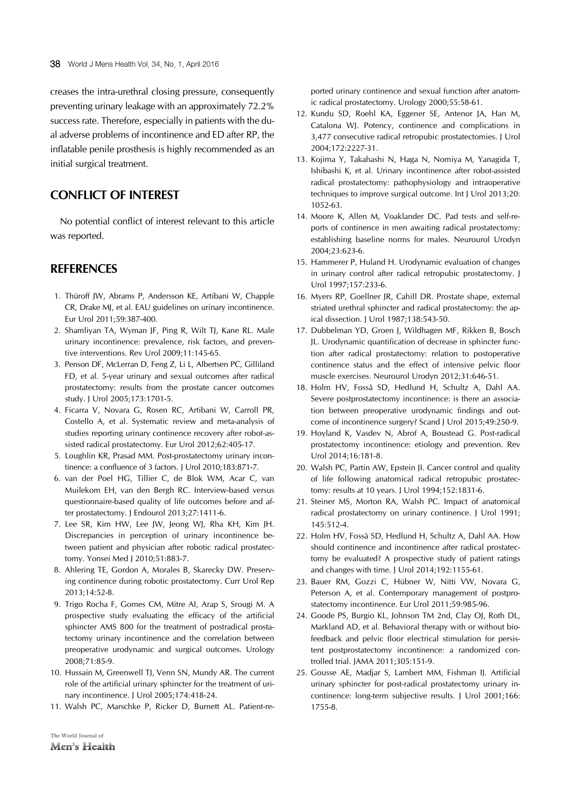creases the intra-urethral closing pressure, consequently preventing urinary leakage with an approximately 72.2% success rate. Therefore, especially in patients with the dual adverse problems of incontinence and ED after RP, the inflatable penile prosthesis is highly recommended as an initial surgical treatment.

# **CONFLICT OF INTEREST**

No potential conflict of interest relevant to this article was reported.

## **REFERENCES**

- 1. Thüroff JW, Abrams P, Andersson KE, Artibani W, Chapple CR, Drake MJ, et al. EAU guidelines on urinary incontinence. Eur Urol 2011;59:387-400.
- 2. Shamliyan TA, Wyman JF, Ping R, Wilt TJ, Kane RL. Male urinary incontinence: prevalence, risk factors, and preventive interventions. Rev Urol 2009;11:145-65.
- 3. Penson DF, McLerran D, Feng Z, Li L, Albertsen PC, Gilliland FD, et al. 5-year urinary and sexual outcomes after radical prostatectomy: results from the prostate cancer outcomes study. J Urol 2005;173:1701-5.
- 4. Ficarra V, Novara G, Rosen RC, Artibani W, Carroll PR, Costello A, et al. Systematic review and meta-analysis of studies reporting urinary continence recovery after robot-assisted radical prostatectomy. Eur Urol 2012;62:405-17.
- 5. Loughlin KR, Prasad MM. Post-prostatectomy urinary incontinence: a confluence of 3 factors. J Urol 2010;183:871-7.
- 6. van der Poel HG, Tillier C, de Blok WM, Acar C, van Muilekom EH, van den Bergh RC. Interview-based versus questionnaire-based quality of life outcomes before and after prostatectomy. J Endourol 2013;27:1411-6.
- 7. Lee SR, Kim HW, Lee JW, Jeong WJ, Rha KH, Kim JH. Discrepancies in perception of urinary incontinence between patient and physician after robotic radical prostatectomy. Yonsei Med J 2010;51:883-7.
- 8. Ahlering TE, Gordon A, Morales B, Skarecky DW. Preserving continence during robotic prostatectomy. Curr Urol Rep 2013;14:52-8.
- 9. Trigo Rocha F, Gomes CM, Mitre AI, Arap S, Srougi M. A prospective study evaluating the efficacy of the artificial sphincter AMS 800 for the treatment of postradical prostatectomy urinary incontinence and the correlation between preoperative urodynamic and surgical outcomes. Urology 2008;71:85-9.
- 10. Hussain M, Greenwell TJ, Venn SN, Mundy AR. The current role of the artificial urinary sphincter for the treatment of urinary incontinence. J Urol 2005;174:418-24.
- 11. Walsh PC, Marschke P, Ricker D, Burnett AL. Patient-re-

ported urinary continence and sexual function after anatomic radical prostatectomy. Urology 2000;55:58-61.

- 12. Kundu SD, Roehl KA, Eggener SE, Antenor JA, Han M, Catalona WJ. Potency, continence and complications in 3,477 consecutive radical retropubic prostatectomies. J Urol 2004;172:2227-31.
- 13. Kojima Y, Takahashi N, Haga N, Nomiya M, Yanagida T, Ishibashi K, et al. Urinary incontinence after robot-assisted radical prostatectomy: pathophysiology and intraoperative techniques to improve surgical outcome. Int J Urol 2013;20: 1052-63.
- 14. Moore K, Allen M, Voaklander DC. Pad tests and self-reports of continence in men awaiting radical prostatectomy: establishing baseline norms for males. Neurourol Urodyn  $2004.23.623-6$
- 15. Hammerer P, Huland H. Urodynamic evaluation of changes in urinary control after radical retropubic prostatectomy. J Urol 1997;157:233-6.
- 16. Myers RP, Goellner JR, Cahill DR. Prostate shape, external striated urethral sphincter and radical prostatectomy: the apical dissection. J Urol 1987;138:543-50.
- 17. Dubbelman YD, Groen J, Wildhagen MF, Rikken B, Bosch JL. Urodynamic quantification of decrease in sphincter function after radical prostatectomy: relation to postoperative continence status and the effect of intensive pelvic floor muscle exercises. Neurourol Urodyn 2012;31:646-51.
- 18. Holm HV, Fosså SD, Hedlund H, Schultz A, Dahl AA. Severe postprostatectomy incontinence: is there an association between preoperative urodynamic findings and outcome of incontinence surgery? Scand J Urol 2015;49:250-9.
- 19. Hoyland K, Vasdev N, Abrof A, Boustead G. Post-radical prostatectomy incontinence: etiology and prevention. Rev Urol 2014;16:181-8.
- 20. Walsh PC, Partin AW, Epstein JI. Cancer control and quality of life following anatomical radical retropubic prostatectomy: results at 10 years. J Urol 1994;152:1831-6.
- 21. Steiner MS, Morton RA, Walsh PC. Impact of anatomical radical prostatectomy on urinary continence. J Urol 1991; 145:512-4.
- 22. Holm HV, Fosså SD, Hedlund H, Schultz A, Dahl AA. How should continence and incontinence after radical prostatectomy be evaluated? A prospective study of patient ratings and changes with time. J Urol 2014;192:1155-61.
- 23. Bauer RM, Gozzi C, Hübner W, Nitti VW, Novara G, Peterson A, et al. Contemporary management of postprostatectomy incontinence. Eur Urol 2011;59:985-96.
- 24. Goode PS, Burgio KL, Johnson TM 2nd, Clay OJ, Roth DL, Markland AD, et al. Behavioral therapy with or without biofeedback and pelvic floor electrical stimulation for persistent postprostatectomy incontinence: a randomized controlled trial. JAMA 2011;305:151-9.
- 25. Gousse AE, Madjar S, Lambert MM, Fishman IJ. Artificial urinary sphincter for post-radical prostatectomy urinary incontinence: long-term subjective results. J Urol 2001;166: 1755-8.